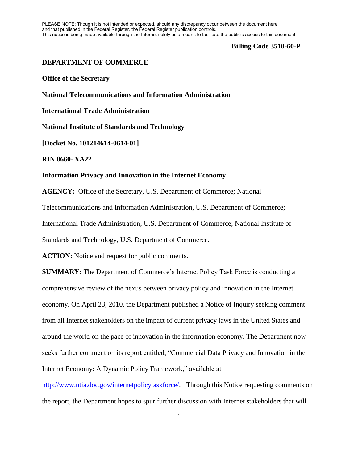PLEASE NOTE: Though it is not intended or expected, should any discrepancy occur between the document here and that published in the Federal Register, the Federal Register publication controls. This notice is being made available through the Internet solely as a means to facilitate the public's access to this document.

#### **Billing Code 3510-60-P**

# **DEPARTMENT OF COMMERCE**

**Office of the Secretary**

**National Telecommunications and Information Administration**

**International Trade Administration**

**National Institute of Standards and Technology**

**[Docket No. 101214614-0614-01]**

**RIN 0660- XA22**

## **Information Privacy and Innovation in the Internet Economy**

**AGENCY:** Office of the Secretary, U.S. Department of Commerce; National Telecommunications and Information Administration, U.S. Department of Commerce; International Trade Administration, U.S. Department of Commerce; National Institute of Standards and Technology, U.S. Department of Commerce.

**ACTION:** Notice and request for public comments.

**SUMMARY:** The Department of Commerce's Internet Policy Task Force is conducting a comprehensive review of the nexus between privacy policy and innovation in the Internet economy. On April 23, 2010, the Department published a Notice of Inquiry seeking comment from all Internet stakeholders on the impact of current privacy laws in the United States and around the world on the pace of innovation in the information economy. The Department now seeks further comment on its report entitled, "Commercial Data Privacy and Innovation in the Internet Economy: A Dynamic Policy Framework," available at

[http://www.ntia.doc.gov/internetpolicytaskforce/.](http://www.ntia.doc.gov/internetpolicytaskforce/) Through this Notice requesting comments on the report, the Department hopes to spur further discussion with Internet stakeholders that will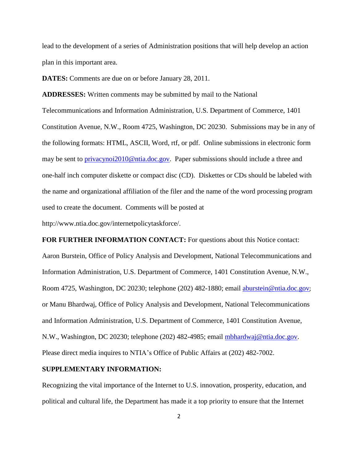lead to the development of a series of Administration positions that will help develop an action plan in this important area.

**DATES:** Comments are due on or before January 28, 2011.

**ADDRESSES:** Written comments may be submitted by mail to the National Telecommunications and Information Administration, U.S. Department of Commerce, 1401 Constitution Avenue, N.W., Room 4725, Washington, DC 20230. Submissions may be in any of the following formats: HTML, ASCII, Word, rtf, or pdf. Online submissions in electronic form may be sent to **privacynoi2010@ntia.doc.gov**. Paper submissions should include a three and one-half inch computer diskette or compact disc (CD). Diskettes or CDs should be labeled with the name and organizational affiliation of the filer and the name of the word processing program used to create the document. Comments will be posted at

http://www.ntia.doc.gov/internetpolicytaskforce/.

**FOR FURTHER INFORMATION CONTACT:** For questions about this Notice contact: Aaron Burstein, Office of Policy Analysis and Development, National Telecommunications and Information Administration, U.S. Department of Commerce, 1401 Constitution Avenue, N.W., Room 4725, Washington, DC 20230; telephone (202) 482-1880; email [aburstein@ntia.doc.gov](mailto:aburstein@ntia.doc.gov); or Manu Bhardwaj, Office of Policy Analysis and Development, National Telecommunications and Information Administration, U.S. Department of Commerce, 1401 Constitution Avenue, N.W., Washington, DC 20230; telephone (202) 482-4985; email [mbhardwaj@ntia.doc.gov.](mailto:mbhardwaj@ntia.doc.gov) Please direct media inquires to NTIA's Office of Public Affairs at (202) 482-7002.

### **SUPPLEMENTARY INFORMATION:**

Recognizing the vital importance of the Internet to U.S. innovation, prosperity, education, and political and cultural life, the Department has made it a top priority to ensure that the Internet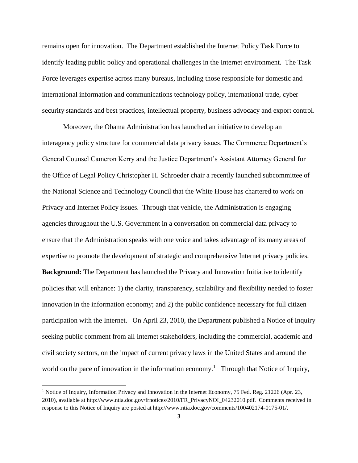remains open for innovation. The Department established the Internet Policy Task Force to identify leading public policy and operational challenges in the Internet environment. The Task Force leverages expertise across many bureaus, including those responsible for domestic and international information and communications technology policy, international trade, cyber security standards and best practices, intellectual property, business advocacy and export control.

Moreover, the Obama Administration has launched an initiative to develop an interagency policy structure for commercial data privacy issues. The Commerce Department's General Counsel Cameron Kerry and the Justice Department's Assistant Attorney General for the Office of Legal Policy Christopher H. Schroeder chair a recently launched subcommittee of the National Science and Technology Council that the White House has chartered to work on Privacy and Internet Policy issues. Through that vehicle, the Administration is engaging agencies throughout the U.S. Government in a conversation on commercial data privacy to ensure that the Administration speaks with one voice and takes advantage of its many areas of expertise to promote the development of strategic and comprehensive Internet privacy policies. **Background:** The Department has launched the Privacy and Innovation Initiative to identify policies that will enhance: 1) the clarity, transparency, scalability and flexibility needed to foster innovation in the information economy; and 2) the public confidence necessary for full citizen participation with the Internet. On April 23, 2010, the Department published a Notice of Inquiry seeking public comment from all Internet stakeholders, including the commercial, academic and civil society sectors, on the impact of current privacy laws in the United States and around the world on the pace of innovation in the information economy.<sup>1</sup> Through that Notice of Inquiry,

 $\overline{\phantom{a}}$ 

<sup>&</sup>lt;sup>1</sup> Notice of Inquiry, Information Privacy and Innovation in the Internet Economy, 75 Fed. Reg. 21226 (Apr. 23, 2010), available at http://www.ntia.doc.gov/frnotices/2010/FR\_PrivacyNOI\_04232010.pdf. Comments received in response to this Notice of Inquiry are posted at http://www.ntia.doc.gov/comments/100402174-0175-01/.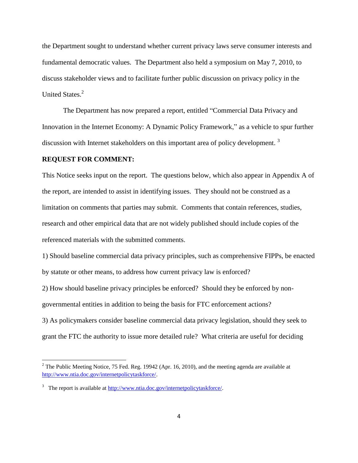the Department sought to understand whether current privacy laws serve consumer interests and fundamental democratic values. The Department also held a symposium on May 7, 2010, to discuss stakeholder views and to facilitate further public discussion on privacy policy in the United States.<sup>2</sup>

The Department has now prepared a report, entitled "Commercial Data Privacy and Innovation in the Internet Economy: A Dynamic Policy Framework," as a vehicle to spur further discussion with Internet stakeholders on this important area of policy development.<sup>3</sup>

## **REQUEST FOR COMMENT:**

l

This Notice seeks input on the report. The questions below, which also appear in Appendix A of the report, are intended to assist in identifying issues. They should not be construed as a limitation on comments that parties may submit. Comments that contain references, studies, research and other empirical data that are not widely published should include copies of the referenced materials with the submitted comments.

1) Should baseline commercial data privacy principles, such as comprehensive FIPPs, be enacted by statute or other means, to address how current privacy law is enforced?

2) How should baseline privacy principles be enforced? Should they be enforced by nongovernmental entities in addition to being the basis for FTC enforcement actions? 3) As policymakers consider baseline commercial data privacy legislation, should they seek to

grant the FTC the authority to issue more detailed rule? What criteria are useful for deciding

 $2$  The Public Meeting Notice, 75 Fed. Reg. 19942 (Apr. 16, 2010), and the meeting agenda are available at [http://www.ntia.doc.gov/internetpolicytaskforce/.](http://www.ntia.doc.gov/internetpolicytaskforce/)

<sup>&</sup>lt;sup>3</sup> The report is available a[t http://www.ntia.doc.gov/internetpolicytaskforce/.](http://www.ntia.doc.gov/internetpolicytaskforce/)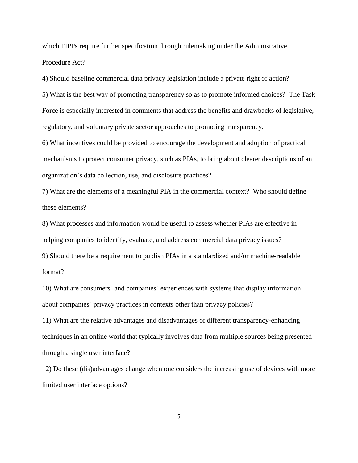which FIPPs require further specification through rulemaking under the Administrative Procedure Act?

4) Should baseline commercial data privacy legislation include a private right of action?

5) What is the best way of promoting transparency so as to promote informed choices? The Task Force is especially interested in comments that address the benefits and drawbacks of legislative, regulatory, and voluntary private sector approaches to promoting transparency.

6) What incentives could be provided to encourage the development and adoption of practical mechanisms to protect consumer privacy, such as PIAs, to bring about clearer descriptions of an organization's data collection, use, and disclosure practices?

7) What are the elements of a meaningful PIA in the commercial context? Who should define these elements?

8) What processes and information would be useful to assess whether PIAs are effective in helping companies to identify, evaluate, and address commercial data privacy issues?

9) Should there be a requirement to publish PIAs in a standardized and/or machine-readable format?

10) What are consumers' and companies' experiences with systems that display information about companies' privacy practices in contexts other than privacy policies?

11) What are the relative advantages and disadvantages of different transparency-enhancing techniques in an online world that typically involves data from multiple sources being presented through a single user interface?

12) Do these (dis)advantages change when one considers the increasing use of devices with more limited user interface options?

5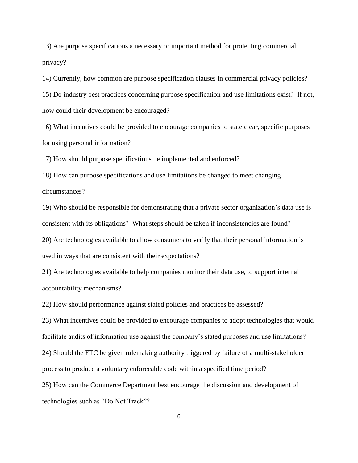13) Are purpose specifications a necessary or important method for protecting commercial privacy?

14) Currently, how common are purpose specification clauses in commercial privacy policies?

15) Do industry best practices concerning purpose specification and use limitations exist? If not, how could their development be encouraged?

16) What incentives could be provided to encourage companies to state clear, specific purposes for using personal information?

17) How should purpose specifications be implemented and enforced?

18) How can purpose specifications and use limitations be changed to meet changing circumstances?

19) Who should be responsible for demonstrating that a private sector organization's data use is consistent with its obligations? What steps should be taken if inconsistencies are found? 20) Are technologies available to allow consumers to verify that their personal information is used in ways that are consistent with their expectations?

21) Are technologies available to help companies monitor their data use, to support internal accountability mechanisms?

22) How should performance against stated policies and practices be assessed?

23) What incentives could be provided to encourage companies to adopt technologies that would facilitate audits of information use against the company's stated purposes and use limitations? 24) Should the FTC be given rulemaking authority triggered by failure of a multi-stakeholder process to produce a voluntary enforceable code within a specified time period? 25) How can the Commerce Department best encourage the discussion and development of technologies such as "Do Not Track"?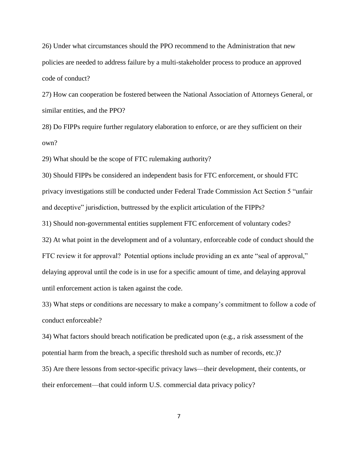26) Under what circumstances should the PPO recommend to the Administration that new policies are needed to address failure by a multi-stakeholder process to produce an approved code of conduct?

27) How can cooperation be fostered between the National Association of Attorneys General, or similar entities, and the PPO?

28) Do FIPPs require further regulatory elaboration to enforce, or are they sufficient on their own?

29) What should be the scope of FTC rulemaking authority?

30) Should FIPPs be considered an independent basis for FTC enforcement, or should FTC privacy investigations still be conducted under Federal Trade Commission Act Section 5 "unfair and deceptive" jurisdiction, buttressed by the explicit articulation of the FIPPs?

31) Should non-governmental entities supplement FTC enforcement of voluntary codes?

32) At what point in the development and of a voluntary, enforceable code of conduct should the FTC review it for approval? Potential options include providing an ex ante "seal of approval," delaying approval until the code is in use for a specific amount of time, and delaying approval until enforcement action is taken against the code.

33) What steps or conditions are necessary to make a company's commitment to follow a code of conduct enforceable?

34) What factors should breach notification be predicated upon (e.g., a risk assessment of the potential harm from the breach, a specific threshold such as number of records, etc.)? 35) Are there lessons from sector-specific privacy laws—their development, their contents, or their enforcement—that could inform U.S. commercial data privacy policy?

7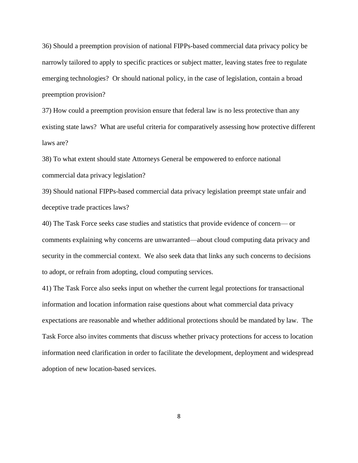36) Should a preemption provision of national FIPPs-based commercial data privacy policy be narrowly tailored to apply to specific practices or subject matter, leaving states free to regulate emerging technologies? Or should national policy, in the case of legislation, contain a broad preemption provision?

37) How could a preemption provision ensure that federal law is no less protective than any existing state laws? What are useful criteria for comparatively assessing how protective different laws are?

38) To what extent should state Attorneys General be empowered to enforce national commercial data privacy legislation?

39) Should national FIPPs-based commercial data privacy legislation preempt state unfair and deceptive trade practices laws?

40) The Task Force seeks case studies and statistics that provide evidence of concern— or comments explaining why concerns are unwarranted—about cloud computing data privacy and security in the commercial context. We also seek data that links any such concerns to decisions to adopt, or refrain from adopting, cloud computing services.

41) The Task Force also seeks input on whether the current legal protections for transactional information and location information raise questions about what commercial data privacy expectations are reasonable and whether additional protections should be mandated by law. The Task Force also invites comments that discuss whether privacy protections for access to location information need clarification in order to facilitate the development, deployment and widespread adoption of new location-based services.

8